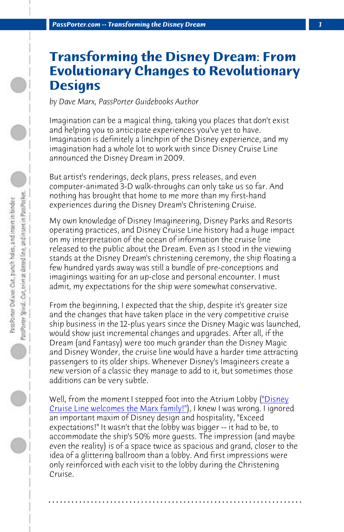*PassPorter.com -- Transforming the Disney Dream 1*

## **Transforming the Disney Dream: From Evolutionary Changes to Revolutionary Designs**

*by Dave Marx, PassPorter Guidebooks Author*

Imagination can be a magical thing, taking you places that don't exist and helping you to anticipate experiences you've yet to have. Imagination is definitely a linchpin of the Disney experience, and my imagination had a whole lot to work with since Disney Cruise Line announced the Disney Dream in 2009.

But artist's renderings, deck plans, press releases, and even computer-animated 3-D walk-throughs can only take us so far. And nothing has brought that home to me more than my first-hand experiences during the Disney Dream's Christening Cruise.

My own knowledge of Disney Imagineering, Disney Parks and Resorts operating practices, and Disney Cruise Line history had a huge impact on my interpretation of the ocean of information the cruise li[ne](http://www.passporterboards.com/forums/planning-your-disney-cruise-voyage/236430-video-welcome-aboard-disney-dream.html?highlight=video) [released to the public about the Dream.](http://www.passporterboards.com/forums/planning-your-disney-cruise-voyage/236430-video-welcome-aboard-disney-dream.html?highlight=video) Even as I stood in the viewing stands at the Disney Dream's christening ceremony, the ship floating a few hundred yards away was still a bundle of pre-conceptions and imaginings waiting for an up-close and personal encounter. I must admit, my expectations for the ship were somewhat conservative.

From the beginning, I expected that the ship, despite it's greater size and the changes that have taken place in the very competitive cruise ship business in the 12-plus years since the Disney Magic was launched, would show just incremental changes and upgrades. After all, if the Dream (and Fantasy) were too much grander than the Disney Magic and Disney Wonder, the cruise line would have a harder time attracting passengers to its older ships. Whenever Disney's Imagineers create a new version of a classic they manage to add to it, but sometimes those additions can be very subtle.

Well, from the moment I stepped foot into the Atrium Lobby ("Disney Cruise Line welcomes the Marx family!"), I knew I was wrong. I ignored an important maxim of Disney design and hospitality, "Exceed expectations!" It wasn't that the lobby was bigger -- it had to be, to accommodate the ship's 50% more guests. The impression (and maybe even the reality) is of a space twice as spacious and grand, closer to the idea of a glittering ballroom than a lobby. And first impressions were only reinforced with each visit to the lobby during the Christening Cruise.

**. . . . . . . . . . . . . . . . . . . . . . . . . . . . . . . . . . . . . . . . . . . . . . . . . . . . . . . . . . . . . . . . . .**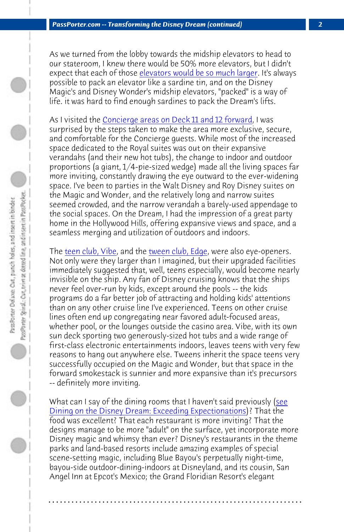*PassPorter.com -- Transforming the Disney Dream (continued) 2*

As we turned from the lobby towards the midship elevators to head to our stateroom, I knew there would be 50% more elevators, but I didn't expect that each of those elevators would be so much larger. It's always possible to pack an elevator like a sardine tin, and on the Disney Ma[gic's and Disney](http://www.passporterboards.com/forums/planning-your-disney-cruise-voyage/237300-video-disney-dream-vibe-teen-club-including-path-hidden-stairs.html?highlight=vibe) Wonder'[s midship elevato](http://www.passporterboards.com/forums/planning-your-disney-cruise-voyage/237317-video-disney-dream-edge-tween-club-aquaduck-viewing-porthole.html)rs, "packed" is a way of life. it was hard to find enough sardines to pack the Dream's lifts.

As I visited the Concierge areas on Deck 11 and 12 forward, I was surprised by the steps taken to make the area more exclusive, secure, and comfortable for the Concierge guests. While most of the increased space dedicated to the Royal suites was out on their expansive verandahs (and their new hot tubs), the change to indoor and outdoor proportions (a giant, 1/4-pie-sized wedge) made all the living spaces far more inviting, constantly drawing the eye outward to the ever-widening space. I've been to parties in the Walt Disney and Roy Disney suites on the Magic and Wonder, and the relatively long and narrow suites seemed crowded, and the narrow verandah a barely-used appendage to the social spaces. On the Dream, I had the impression of a great party home in the Hollywood Hills, offering expansive views and space, and a seamless merging and utilization of outdoors and indoors.

[The teen club, Vibe, and the tween club, Edge, were also](http://www.passporter.com/articles/disney-dream-dining-restaurants-review.html) eye-ope[ners](http://www.passporter.com/articles/disney-dream-dining-restaurants-review.html). Not only were they larger than I imagined, but their upgraded facilities immediately suggested that, well, teens especially, would become nearly invisible on the ship. Any fan of Disney cruising knows that the ships never feel over-run by kids, except around the pools -- the kids programs do a far better job of attracting and holding kids' attentions than on any other cruise line I've experienced. Teens on other cruise lines often end up congregating near favored adult-focused areas, whether pool, or the lounges outside the casino area. Vibe, with its own sun deck sporting two generously-sized hot tubs and a wide range of first-class electronic entertainments indoors, leaves teens with very few reasons to hang out anywhere else. Tweens inherit the space teens very successfully occupied on the Magic and Wonder, but that space in the forward smokestack is sunnier and more expansive than it's precursors -- definitely more inviting.

What can I say of the dining rooms that I haven't said previously (see Dining on the Disney Dream: Exceeding Expectionations)? That the food was excellent? That each restaurant is more inviting? That the designs manage to be more "adult" on the surface, yet incorporate more Disney magic and whimsy than ever? Disney's restaurants in the theme parks and land-based resorts include amazing examples of special scene-setting magic, including Blue Bayou's perpetually night-time, bayou-side outdoor-dining-indoors at Disneyland, and its cousin, San Angel Inn at Epcot's Mexico; the Grand Floridian Resort's elegant

**. . . . . . . . . . . . . . . . . . . . . . . . . . . . . . . . . . . . . . . . . . . . . . . . . . . . . . . . . . . . . . . . . .**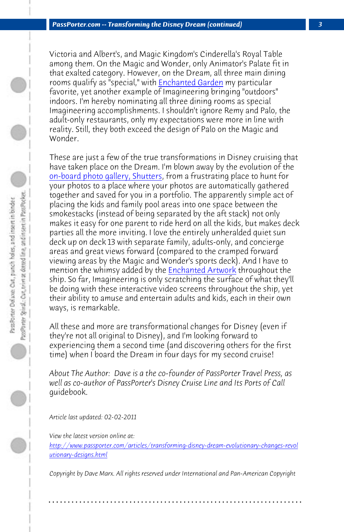*[PassPorter.com -- Transforming the](http://www.passporterboards.com/forums/planning-your-disney-cruise-voyage/236724-video-disney-dream-shutters-photo-gallery-shop.html?highlight=shutters) Disney Dream (continued) 3*

Victoria and Albert's, and Magic Kingdom's Cinderella's Royal Table among them. On the Magic and Wonder, only Animator's Palate fit in that exalted category. However, on the Dream, all three main dining rooms qualify as "special," with **Enchanted Garden** my particular favorite, yet another example of Imagineering bringing "outdoors" indoors. I'm hereby nominating all three dining rooms as special Imagineering accomplishments. I [shouldn't ignore Rem](http://www.passporterboards.com/forums/planning-your-disney-cruise-voyage/236664-video-disney-dream-midship-detective-agency-how.html?highlight=video)y and Palo, the adult-only restaurants, only my expectations were more in line with reality. Still, they both exceed the design of Palo on the Magic and Wonder.

These are just a few of the true transformations in Disney cruising that have taken place on the Dream. I'm blown away by the evolution of the on-board photo gallery, Shutters, from a frustrating place to hunt for your photos to a place where your photos are automatically gathered together and saved for you in a portfolio. The apparently simple act of placing the kids and family pool areas into one space between the smokestacks (instead of being separated by the aft stack) not only makes it easy for one parent to ride herd on all the kids, but makes deck parties all the more inviting. I love the entirely unheralded quiet sun deck up on deck 13 with separate family, adults-only, and concierge areas and great views forward (compared to the cramped forward viewing areas by the Magic and Wonder's sports deck). And I have to mention the whimsy added by the Enchanted Artwork throughout the ship. So far, Imagineering is only scratching the surface of what they'll [be doing with these interactive video screens throughout the ship, yet](http://www.passporter.com/articles/transforming-disney-dream-evolutionary-changes-revolutionary-designs.php) [their ability to am](http://www.passporter.com/articles/transforming-disney-dream-evolutionary-changes-revolutionary-designs.php)use and entertain adults and kids, each in their own ways, is remarkable.

All these and more are transformational changes for Disney (even if they're not all original to Disney), and I'm looking forward to experiencing them a second time (and discovering others for the first time) when I board the Dream in four days for my second cruise!

*About The Author: Dave is a the co-founder of PassPorter Travel Press, as well as co-author of PassPorter's Disney Cruise Line and Its Ports of Call* guidebook.

*Article last updated: 02-02-2011*

*View the latest version online at:* 

*http://www.passporter.com/articles/transforming-disney-dream-evolutionary-changes-revol utionary-designs.html*

*Copyright by Dave Marx. All rights reserved under International and Pan-American Copyright*

**. . . . . . . . . . . . . . . . . . . . . . . . . . . . . . . . . . . . . . . . . . . . . . . . . . . . . . . . . . . . . . . . . .**